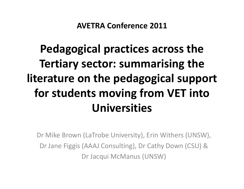AVETRA Conference 2011

## Pedagogical practices across the Tertiary sector: summarising the literature on the pedagogical support for students moving from VET into Universities

Dr Mike Brown (LaTrobe University), Erin Withers (UNSW), Dr Jane Figgis (AAAJ Consulting), Dr Cathy Down (CSU) & Dr Jacqui McManus (UNSW)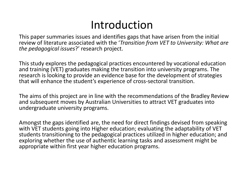#### Introduction

 This paper summaries issues and identifies gaps that have arisen from the initial review of literature associated with the '*Transition from VET to University: What are* the pedagogical issues?' research project.

This study explores the pedagogical practices encountered by vocational education and training (VET) graduates making the transition into university programs. The research is looking to provide an evidence base for the development of strategies that will enhance the student's experience of cross-sectoral transition.

The aims of this project are in line with the recommendations of the Bradley Review and subsequent moves by Australian Universities to attract VET graduates into undergraduate university programs.

Amongst the gaps identified are, the need for direct findings devised from speaking with VET students going into Higher education; evaluating the adaptability of VET students transitioning to the pedagogical practices utilized in higher education; and exploring whether the use of authentic learning tasks and assessment might be appropriate within first year higher education programs.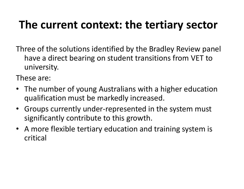#### The current context: the tertiary sector

Three of the solutions identified by the Bradley Review panel have a direct bearing on student transitions from VET to university.

These are:

- The number of young Australians with a higher education qualification must be markedly increased.
- Groups currently under-represented in the system must significantly contribute to this growth.
- A more flexible tertiary education and training system is critical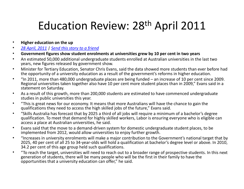#### Education Review: 28<sup>th</sup> April 2011

- •Higher education on the up
- 28 April, 2011 | Send this story to a friend •
- Government figures show student enrolments at universities grew by 10 per cent in two years•
- An estimated 50,000 additional undergraduate students enrolled at Australian universities in the last two  $\bullet$ years, new figures released by government show.
- • Minister for Tertiary Education, Senator Chris Evans, said the data showed more students than ever before had the opportunity of a university education as a result of the government's reforms in higher education.
- • "In 2011, more than 480,000 undergraduate places are being funded – an increase of 10 per cent since 2009. Regional universities taken together also have 10 per cent more student places than in 2009," Evans said in a statement on Saturday.
- • As a result of this growth, more than 200,000 students are estimated to have commenced undergraduate studies in public universities this year.
- • "This is great news for our economy. It means that more Australians will have the chance to gain the qualifications they need to access the high skilled jobs of the future," Evans said.
- • "Skills Australia has forecast that by 2025 a third of all jobs will require a minimum of a bachelor's degree qualification. To meet that demand for highly skilled workers, Labor is ensuring everyone who is eligible can access a place at Australian universities, he said.
- • Evans said that the move to a demand-driven system for domestic undergraduate student places, to be implemented from 2012, would allow universities to enjoy further growth.
- • "Increases in university enrolments will make a major contribution to the Government's national target that by 2025, 40 per cent of all 25 to 34-year-olds will hold a qualification at bachelor's degree level or above. In 2010, 34.2 per cent of this age group held such qualifications.
- • "To reach the target, universities will need to reach out to a broader range of prospective students. In this next generation of students, there will be many people who will be the first in their family to have the opportunities that a university education can offer," he said.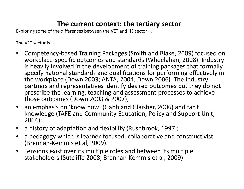#### The current context: the tertiary sector

Exploring some of the differences between the VET and HE sector . .

The VET sector is . . .

- • Competency-based Training Packages (Smith and Blake, 2009) focused on workplace-specific outcomes and standards (Wheelahan, 2008). Industry is heavily involved in the development of training packages that formally specify national standards and qualifications for performing effectively in the workplace (Down 2003; ANTA, 2004; Down 2006). The industry partners and representatives identify desired outcomes but they do not prescribe the learning, teaching and assessment processes to achieve those outcomes (Down 2003 & 2007);
- • an emphasis on 'know how' (Gabb and Glaisher, 2006) and tacit knowledge (TAFE and Community Education, Policy and Support Unit, 2004);
- •a history of adaptation and flexibility (Rushbrook, 1997);
- $\bullet$  a pedagogy which is learner-focused, collaborative and constructivist (Brennan-Kemmis et al, 2009).
- $\bullet$  Tensions exist over its multiple roles and between its multiple stakeholders (Sutcliffe 2008; Brennan-Kemmis et al, 2009)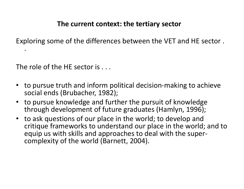#### The current context: the tertiary sector

Exploring some of the differences between the VET and HE sector .

The role of the HE sector is . . .

.

- to pursue truth and inform political decision-making to achieve social ends (Brubacher, 1982);
- to pursue knowledge and further the pursuit of knowledge through development of future graduates (Hamlyn, 1996);
- • to ask questions of our place in the world; to develop and critique frameworks to understand our place in the world; and to equip us with skills and approaches to deal with the supercomplexity of the world (Barnett, 2004).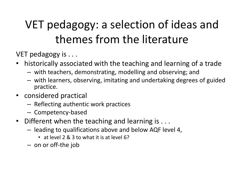## VET pedagogy: a selection of ideas and themes from the literature

VET pedagogy is . . .

- historically associated with the teaching and learning of a trade
	- –with teachers, demonstrating, modelling and observing; an d
	- – with learners, observing, imitating and undertaking degrees of guided practice.
- considered practical
	- –- Reflecting authentic work practices
	- – $-$  Competency-based
- Different when the teaching and learning is . . .
	- – leading to qualifications above and below AQF level 4,
		- at level 2 & 3 to what it is at level 6?
	- – $-$  on or off-the job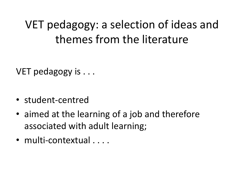### VET pedagogy: a selection of ideas and themes from the literature

VET pedagogy is . . .

- student-centred
- aimed at the learning of a job and therefore associated with adult learning;
- multi-contextual . . . .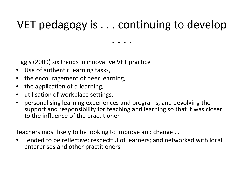#### VET pedagogy is . . . continuing to develop

. . . .

Figgis (2009) six trends in innovative VET practice

- •Use of authentic learning tasks,
- •the encouragement of peer learning,
- $\bullet$ the application of e-learning,
- •utilisation of workplace settings,
- • personalising learning experiences and programs, and devolving the support and responsibility for teaching and learning so that it was closer to the influence of the practitioner

Teachers most likely to be looking to improve and change . .

• Tended to be reflective; respectful of learners; and networked with local enterprises and other practitioners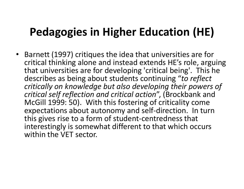• Barnett (1997) critiques the idea that universities are for critical thinking alone and instead extends HE's role, arguing that universities are for developing 'critical being'. This he describes as being about students continuing "to reflect critically on knowledge but also developing their powers of critical self reflection and critical action", (Brockbank and McGill 1999: 50). With this fostering of criticality come expectations about autonomy and self-direction. In turn this gives rise to a form of student-centredness that interestingly is somewhat different to that which occurs within the VET sector.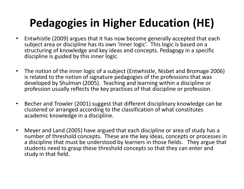- Entwhistle (2009) argues that it has now become generally accepted that each subject area or discipline has its own 'inner logic'. This logic is based on a structuring of knowledge and key ideas and concepts. Pedagogy in a specific discipline is guided by this inner logic.
- The notion of the inner logic of a subject (Entwhistle, Nisbet and Bromage 2006) is related to the notion of signature pedagogies of the professions that was developed by Shulman (2005). Teaching and learning within a discipline or profession usually reflects the key practices of that discipline or profession.
- • Becher and Trowler (2001) suggest that different disciplinary knowledge can be clustered or arranged according to the classification of what constitutes academic knowledge in a discipline.
- $\bullet$  Meyer and Land (2005) have argued that each discipline or area of study has a number of threshold concepts. These are the key ideas, concepts or processes in a discipline that must be understood by learners in those fields. They argue that students need to grasp these threshold concepts so that they can enter and study in that field.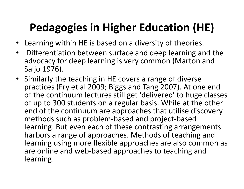- Learning within HE is based on a diversity of theories.
- • Differentiation between surface and deep learning and the advocacy for deep learning is very common (Marton and Saljo 1976).
- Similarly the teaching in HE covers a range of diverse practices (Fry et al 2009; Biggs and Tang 2007). At one end of the continuum lectures still get 'delivered' to huge classes of up to 300 students on a regular basis. While at the other end of the continuum are approaches that utilise discovery methods such as problem-based and project-based learning. But even each of these contrasting arrangements harbors a range of approaches. Methods of teaching and learning using more flexible approaches are also common as are online and web-based approaches to teaching and learning.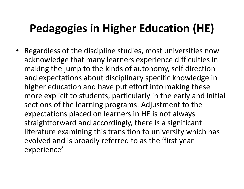• Regardless of the discipline studies, most universities now acknowledge that many learners experience difficulties in making the jump to the kinds of autonomy, self direction and expectations about disciplinary specific knowledge in higher education and have put effort into making these more explicit to students, particularly in the early and initial sections of the learning programs. Adjustment to the expectations placed on learners in HE is not always straightforward and accordingly, there is a significant literature examining this transition to university which has evolved and is broadly referred to as the 'first yearexperience'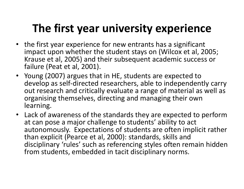#### The first year university experience

- the first year experience for new entrants has a significant impact upon whether the student stays on (Wilcox et al, 2005; Krause et al, 2005) and their subsequent academic success or failure (Peat et al, 2001).
- Young (2007) argues that in HE, students are expected to develop as self-directed researchers, able to independently carry out research and critically evaluate a range of material as well as organising themselves, directing and managing their own learning.
- Lack of awareness of the standards they are expected to perform at can pose a major challenge to students' ability to act autonomously. Expectations of students are often implicit rather than explicit (Pearce et al, 2000): standards, skills and disciplinary 'rules' such as referencing styles often remain hidden from students, embedded in tacit disciplinary norms.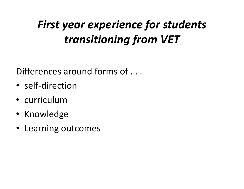## First year experience for students transitioning from VET

Differences around forms of . . .

- self-direction
- •curriculum
- Knowledge
- Learning outcomes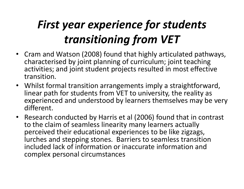## First year experience for students transitioning from VET

- Cram and Watson (2008) found that highly articulated pathways, characterised by joint planning of curriculum; joint teaching activities; and joint student projects resulted in most effective transition.
- Whilst formal transition arrangements imply a straightforward, linear path for students from VET to university, the reality as experienced and understood by learners themselves may be very different.
- Research conducted by Harris et al (2006) found that in contrast to the claim of seamless linearity many learners actually perceived their educational experiences to be like zigzags, lurches and stepping stones. Barriers to seamless transition included lack of information or inaccurate information and complex personal circumstances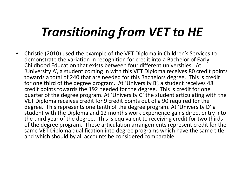# Transitioning from VET to HE

• Christie (2010) used the example of the VET Diploma in Children's Services to demonstrate the variation in recognition for credit into a Bachelor of Early Childhood Education that exists between four different universities. At 'University A', a student coming in with this VET Diploma receives 80 credit points towards a total of 240 that are needed for this Bachelors degree. This is credit for one third of the degree program. At 'University B', a student receives 48 credit points towards the 192 needed for the degree. This is credit for one quarter of the degree program. At 'University C' the student articulating with the VET Diploma receives credit for 9 credit points out of a 90 required for the degree. This represents one tenth of the degree program. At 'University D' a student with the Diploma and 12 months work experience gains direct entry into the third year of the degree. This is equivalent to receiving credit for two thirds of the degree program. These articulation arrangements represent credit for the same VET Diploma qualification into degree programs which have the same title and which should by all accounts be considered comparable.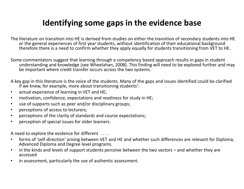#### Identifying some gaps in the evidence base

The literature on transition into HE is derived from studies on either the transition of secondary students into HE or the general experiences of first year students, without identification of their educational background therefore there is a need to confirm whether they apply equally for students transitioning from VET to HE.

Some commentators suggest that learning through a competency based approach results in gaps in student understanding and knowledge (see Wheelahan, 2008). This finding will need to be explored further and may be important where credit transfer occurs across the two systems.

A key gap in this literature is the voice of the students. Many of the gaps and issues identified could be clarified if we knew, for example, more about transitioning students':

- •actual experience of learning in VET and HE;
- $\bullet$ motivation, confidence, expectations and readiness for study in HE;
- •use of supports such as peer and/or disciplinary groups;
- •perceptions of access to lecturers;
- $\bullet$ perceptions of the clarity of standards and course expectations;
- •perception of special issues for older learners.

A need to explore the evidence for different . . . .

- $\bullet$  forms of 'self-direction' arising between VET and HE and whether such differences are relevant for Diploma, Advanced Diploma and Degree level programs.
- $\bullet$  in the kinds and levels of support students perceive between the two sectors – and whether they are accessed
- in assessment, particularly the use of authentic assessment. $\bullet$